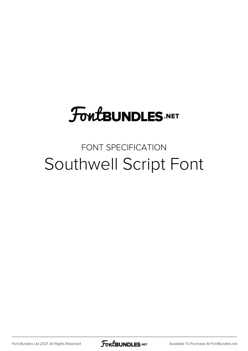## **FoutBUNDLES.NET**

## FONT SPECIFICATION Southwell Script Font

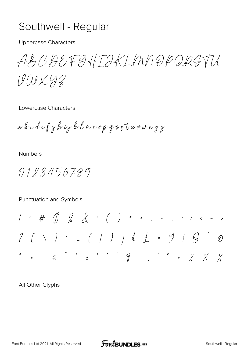## Southwell - Regular

**Uppercase Characters** 

ABCBEFGHIJKLMNOPQRGTU

 $UUX92$ 

Lowercase Characters

abodefghijklmnopgsstuvwxyz

**Numbers** 

0123456789

Punctuation and Symbols

All Other Glyphs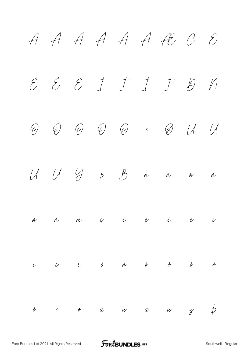